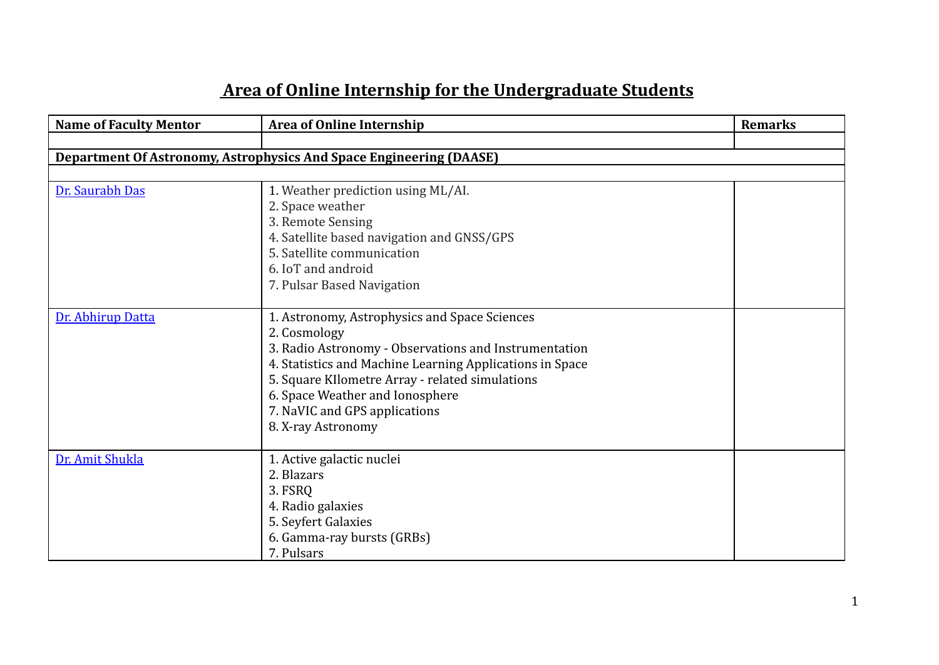| <b>Name of Faculty Mentor</b> | <b>Area of Online Internship</b>                                                                                                                                                                                                                                                                                                | <b>Remarks</b> |
|-------------------------------|---------------------------------------------------------------------------------------------------------------------------------------------------------------------------------------------------------------------------------------------------------------------------------------------------------------------------------|----------------|
|                               |                                                                                                                                                                                                                                                                                                                                 |                |
|                               | <b>Department Of Astronomy, Astrophysics And Space Engineering (DAASE)</b>                                                                                                                                                                                                                                                      |                |
|                               |                                                                                                                                                                                                                                                                                                                                 |                |
| Dr. Saurabh Das               | 1. Weather prediction using ML/AI.<br>2. Space weather<br>3. Remote Sensing<br>4. Satellite based navigation and GNSS/GPS<br>5. Satellite communication<br>6. IoT and android<br>7. Pulsar Based Navigation                                                                                                                     |                |
| Dr. Abhirup Datta             | 1. Astronomy, Astrophysics and Space Sciences<br>2. Cosmology<br>3. Radio Astronomy - Observations and Instrumentation<br>4. Statistics and Machine Learning Applications in Space<br>5. Square Kllometre Array - related simulations<br>6. Space Weather and Ionosphere<br>7. NaVIC and GPS applications<br>8. X-ray Astronomy |                |
| Dr. Amit Shukla               | 1. Active galactic nuclei<br>2. Blazars<br>3. FSRQ<br>4. Radio galaxies<br>5. Seyfert Galaxies<br>6. Gamma-ray bursts (GRBs)<br>7. Pulsars                                                                                                                                                                                      |                |

## **Area of Online Internship for the Undergraduate Students**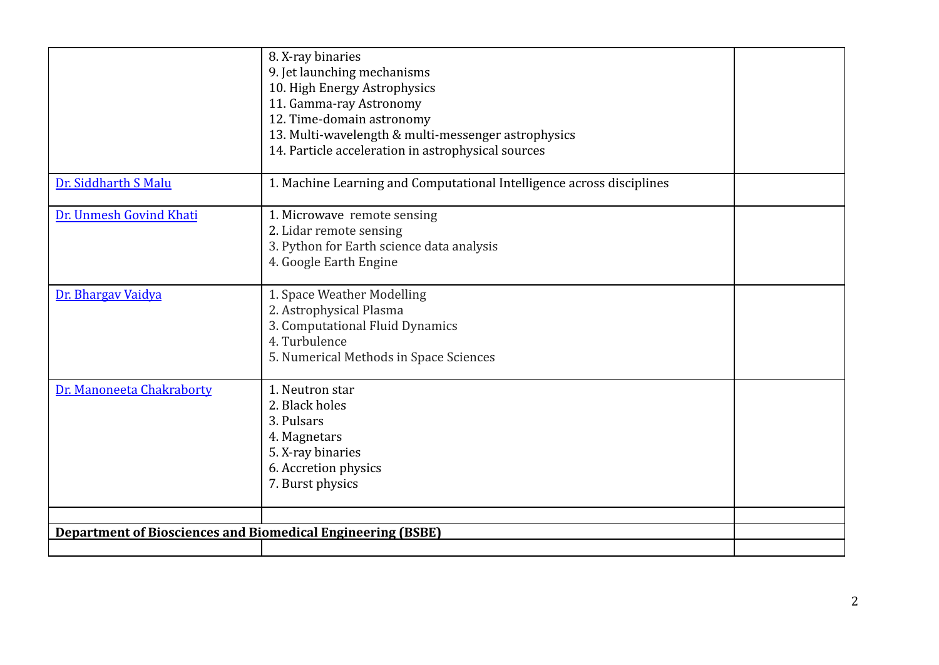|                                                                    | 8. X-ray binaries<br>9. Jet launching mechanisms<br>10. High Energy Astrophysics<br>11. Gamma-ray Astronomy<br>12. Time-domain astronomy<br>13. Multi-wavelength & multi-messenger astrophysics<br>14. Particle acceleration in astrophysical sources |  |
|--------------------------------------------------------------------|-------------------------------------------------------------------------------------------------------------------------------------------------------------------------------------------------------------------------------------------------------|--|
| Dr. Siddharth S Malu                                               | 1. Machine Learning and Computational Intelligence across disciplines                                                                                                                                                                                 |  |
| Dr. Unmesh Govind Khati                                            | 1. Microwave remote sensing<br>2. Lidar remote sensing<br>3. Python for Earth science data analysis<br>4. Google Earth Engine                                                                                                                         |  |
| Dr. Bhargav Vaidya                                                 | 1. Space Weather Modelling<br>2. Astrophysical Plasma<br>3. Computational Fluid Dynamics<br>4. Turbulence<br>5. Numerical Methods in Space Sciences                                                                                                   |  |
| Dr. Manoneeta Chakraborty                                          | 1. Neutron star<br>2. Black holes<br>3. Pulsars<br>4. Magnetars<br>5. X-ray binaries<br>6. Accretion physics<br>7. Burst physics                                                                                                                      |  |
| <b>Department of Biosciences and Biomedical Engineering (BSBE)</b> |                                                                                                                                                                                                                                                       |  |
|                                                                    |                                                                                                                                                                                                                                                       |  |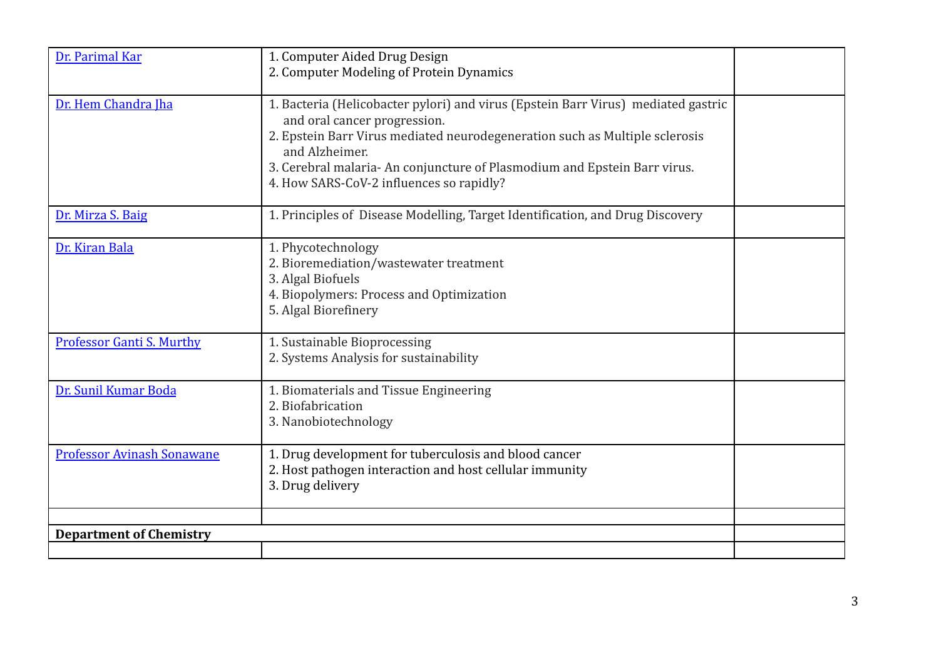| Dr. Parimal Kar                   | 1. Computer Aided Drug Design<br>2. Computer Modeling of Protein Dynamics                                                                                                                                                                                                                                                                  |  |
|-----------------------------------|--------------------------------------------------------------------------------------------------------------------------------------------------------------------------------------------------------------------------------------------------------------------------------------------------------------------------------------------|--|
| Dr. Hem Chandra Iha               | 1. Bacteria (Helicobacter pylori) and virus (Epstein Barr Virus) mediated gastric<br>and oral cancer progression.<br>2. Epstein Barr Virus mediated neurodegeneration such as Multiple sclerosis<br>and Alzheimer.<br>3. Cerebral malaria-An conjuncture of Plasmodium and Epstein Barr virus.<br>4. How SARS-CoV-2 influences so rapidly? |  |
| Dr. Mirza S. Baig                 | 1. Principles of Disease Modelling, Target Identification, and Drug Discovery                                                                                                                                                                                                                                                              |  |
| Dr. Kiran Bala                    | 1. Phycotechnology<br>2. Bioremediation/wastewater treatment<br>3. Algal Biofuels<br>4. Biopolymers: Process and Optimization<br>5. Algal Biorefinery                                                                                                                                                                                      |  |
| <b>Professor Ganti S. Murthy</b>  | 1. Sustainable Bioprocessing<br>2. Systems Analysis for sustainability                                                                                                                                                                                                                                                                     |  |
| Dr. Sunil Kumar Boda              | 1. Biomaterials and Tissue Engineering<br>2. Biofabrication<br>3. Nanobiotechnology                                                                                                                                                                                                                                                        |  |
| <b>Professor Avinash Sonawane</b> | 1. Drug development for tuberculosis and blood cancer<br>2. Host pathogen interaction and host cellular immunity<br>3. Drug delivery                                                                                                                                                                                                       |  |
|                                   |                                                                                                                                                                                                                                                                                                                                            |  |
| <b>Department of Chemistry</b>    |                                                                                                                                                                                                                                                                                                                                            |  |
|                                   |                                                                                                                                                                                                                                                                                                                                            |  |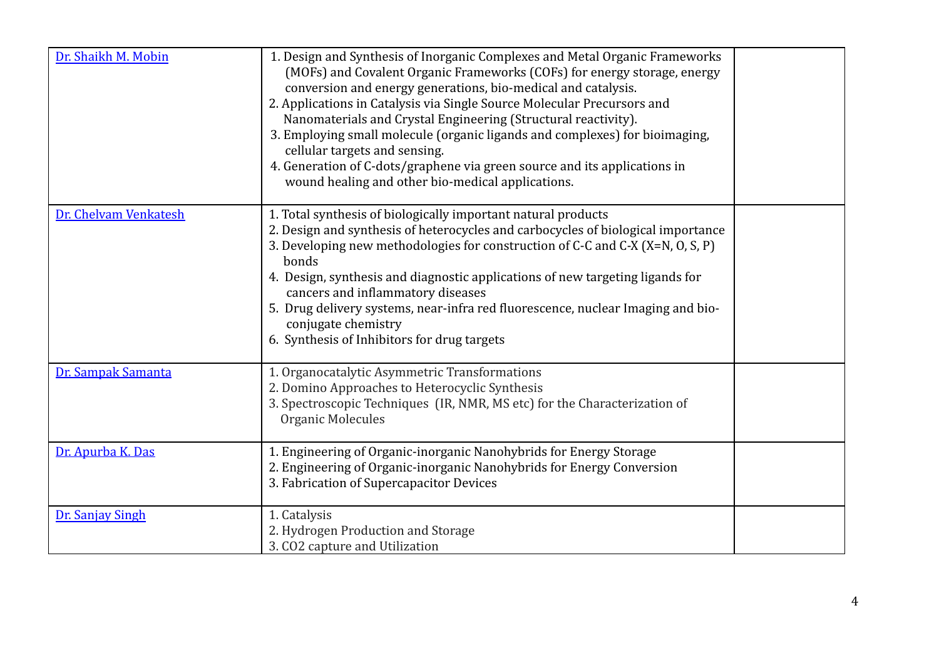| Dr. Shaikh M. Mobin   | 1. Design and Synthesis of Inorganic Complexes and Metal Organic Frameworks<br>(MOFs) and Covalent Organic Frameworks (COFs) for energy storage, energy<br>conversion and energy generations, bio-medical and catalysis.<br>2. Applications in Catalysis via Single Source Molecular Precursors and<br>Nanomaterials and Crystal Engineering (Structural reactivity).<br>3. Employing small molecule (organic ligands and complexes) for bioimaging,<br>cellular targets and sensing.<br>4. Generation of C-dots/graphene via green source and its applications in<br>wound healing and other bio-medical applications. |  |
|-----------------------|-------------------------------------------------------------------------------------------------------------------------------------------------------------------------------------------------------------------------------------------------------------------------------------------------------------------------------------------------------------------------------------------------------------------------------------------------------------------------------------------------------------------------------------------------------------------------------------------------------------------------|--|
| Dr. Chelvam Venkatesh | 1. Total synthesis of biologically important natural products<br>2. Design and synthesis of heterocycles and carbocycles of biological importance<br>3. Developing new methodologies for construction of C-C and C-X (X=N, O, S, P)<br>bonds<br>4. Design, synthesis and diagnostic applications of new targeting ligands for<br>cancers and inflammatory diseases<br>5. Drug delivery systems, near-infra red fluorescence, nuclear Imaging and bio-<br>conjugate chemistry<br>6. Synthesis of Inhibitors for drug targets                                                                                             |  |
| Dr. Sampak Samanta    | 1. Organocatalytic Asymmetric Transformations<br>2. Domino Approaches to Heterocyclic Synthesis<br>3. Spectroscopic Techniques (IR, NMR, MS etc) for the Characterization of<br>Organic Molecules                                                                                                                                                                                                                                                                                                                                                                                                                       |  |
| Dr. Apurba K. Das     | 1. Engineering of Organic-inorganic Nanohybrids for Energy Storage<br>2. Engineering of Organic-inorganic Nanohybrids for Energy Conversion<br>3. Fabrication of Supercapacitor Devices                                                                                                                                                                                                                                                                                                                                                                                                                                 |  |
| Dr. Sanjay Singh      | 1. Catalysis<br>2. Hydrogen Production and Storage<br>3. CO2 capture and Utilization                                                                                                                                                                                                                                                                                                                                                                                                                                                                                                                                    |  |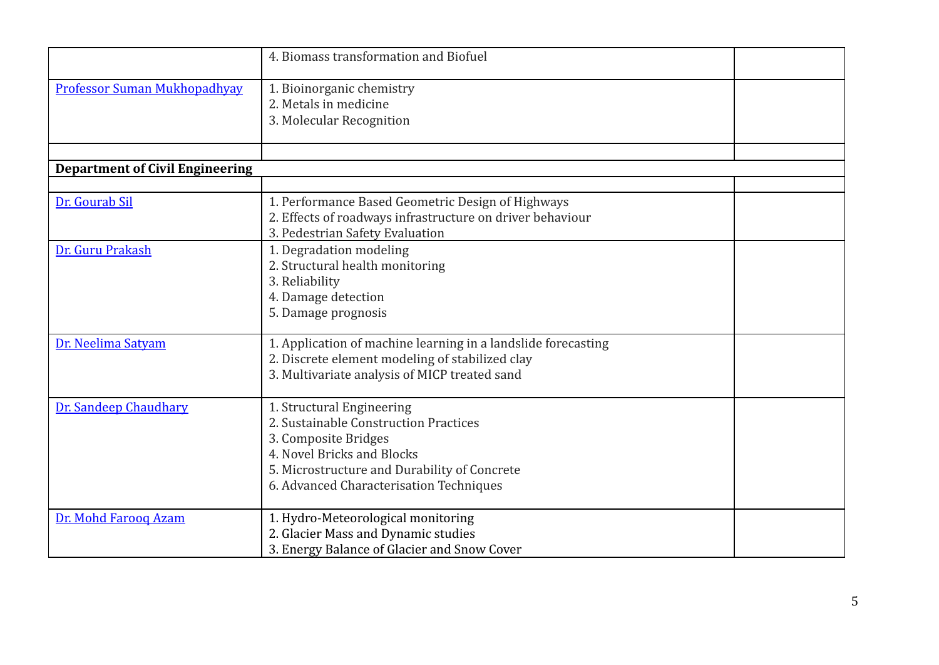|                                        | 4. Biomass transformation and Biofuel                                                                                                                                                                               |  |
|----------------------------------------|---------------------------------------------------------------------------------------------------------------------------------------------------------------------------------------------------------------------|--|
| <b>Professor Suman Mukhopadhyay</b>    | 1. Bioinorganic chemistry<br>2. Metals in medicine<br>3. Molecular Recognition                                                                                                                                      |  |
| <b>Department of Civil Engineering</b> |                                                                                                                                                                                                                     |  |
|                                        |                                                                                                                                                                                                                     |  |
| Dr. Gourab Sil                         | 1. Performance Based Geometric Design of Highways<br>2. Effects of roadways infrastructure on driver behaviour<br>3. Pedestrian Safety Evaluation                                                                   |  |
| Dr. Guru Prakash                       | 1. Degradation modeling<br>2. Structural health monitoring<br>3. Reliability<br>4. Damage detection<br>5. Damage prognosis                                                                                          |  |
| Dr. Neelima Satyam                     | 1. Application of machine learning in a landslide forecasting<br>2. Discrete element modeling of stabilized clay<br>3. Multivariate analysis of MICP treated sand                                                   |  |
| Dr. Sandeep Chaudhary                  | 1. Structural Engineering<br>2. Sustainable Construction Practices<br>3. Composite Bridges<br>4. Novel Bricks and Blocks<br>5. Microstructure and Durability of Concrete<br>6. Advanced Characterisation Techniques |  |
| Dr. Mohd Farooq Azam                   | 1. Hydro-Meteorological monitoring<br>2. Glacier Mass and Dynamic studies<br>3. Energy Balance of Glacier and Snow Cover                                                                                            |  |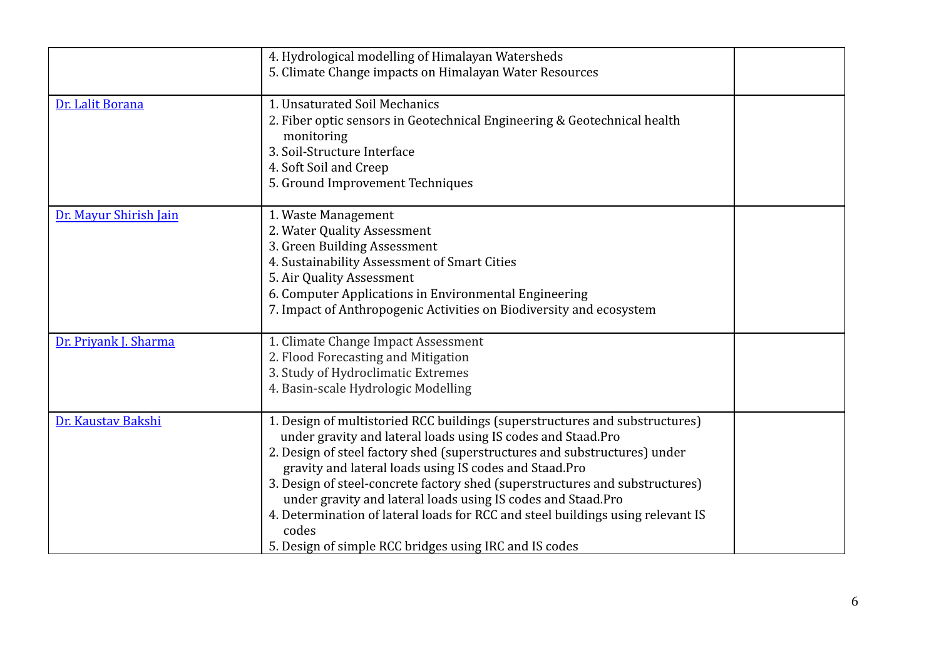|                        | 4. Hydrological modelling of Himalayan Watersheds<br>5. Climate Change impacts on Himalayan Water Resources                                                                                                                                                                                                                                                                                                                                                                                                                                                                               |  |
|------------------------|-------------------------------------------------------------------------------------------------------------------------------------------------------------------------------------------------------------------------------------------------------------------------------------------------------------------------------------------------------------------------------------------------------------------------------------------------------------------------------------------------------------------------------------------------------------------------------------------|--|
| Dr. Lalit Borana       | 1. Unsaturated Soil Mechanics<br>2. Fiber optic sensors in Geotechnical Engineering & Geotechnical health<br>monitoring<br>3. Soil-Structure Interface<br>4. Soft Soil and Creep<br>5. Ground Improvement Techniques                                                                                                                                                                                                                                                                                                                                                                      |  |
| Dr. Mayur Shirish Jain | 1. Waste Management<br>2. Water Quality Assessment<br>3. Green Building Assessment<br>4. Sustainability Assessment of Smart Cities<br>5. Air Quality Assessment<br>6. Computer Applications in Environmental Engineering<br>7. Impact of Anthropogenic Activities on Biodiversity and ecosystem                                                                                                                                                                                                                                                                                           |  |
| Dr. Priyank J. Sharma  | 1. Climate Change Impact Assessment<br>2. Flood Forecasting and Mitigation<br>3. Study of Hydroclimatic Extremes<br>4. Basin-scale Hydrologic Modelling                                                                                                                                                                                                                                                                                                                                                                                                                                   |  |
| Dr. Kaustav Bakshi     | 1. Design of multistoried RCC buildings (superstructures and substructures)<br>under gravity and lateral loads using IS codes and Staad. Pro<br>2. Design of steel factory shed (superstructures and substructures) under<br>gravity and lateral loads using IS codes and Staad.Pro<br>3. Design of steel-concrete factory shed (superstructures and substructures)<br>under gravity and lateral loads using IS codes and Staad.Pro<br>4. Determination of lateral loads for RCC and steel buildings using relevant IS<br>codes<br>5. Design of simple RCC bridges using IRC and IS codes |  |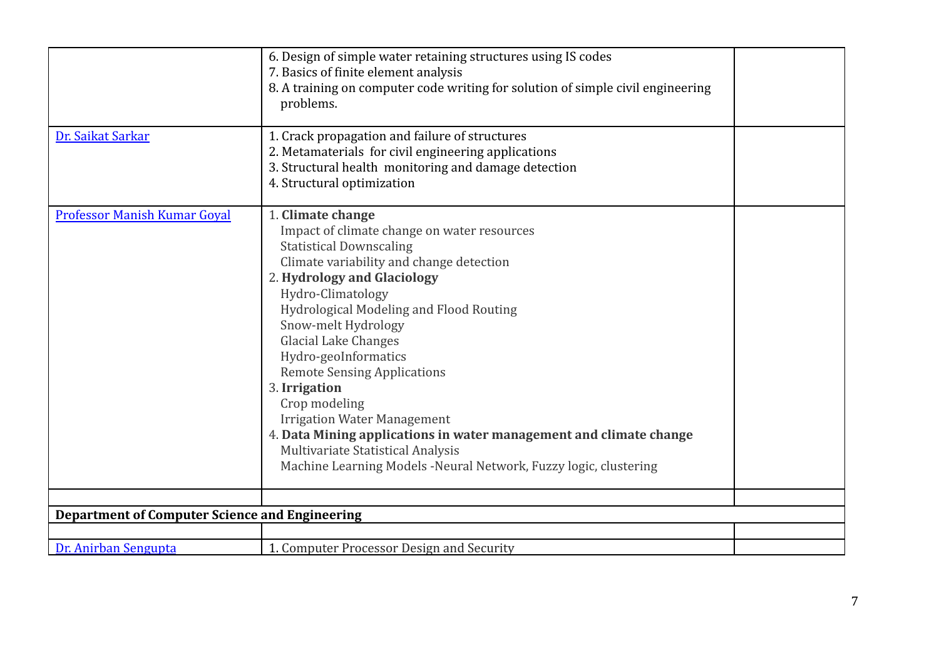| Dr. Saikat Sarkar                                     | 6. Design of simple water retaining structures using IS codes<br>7. Basics of finite element analysis<br>8. A training on computer code writing for solution of simple civil engineering<br>problems.<br>1. Crack propagation and failure of structures<br>2. Metamaterials for civil engineering applications<br>3. Structural health monitoring and damage detection<br>4. Structural optimization                                                                                                                                                                                                                     |  |
|-------------------------------------------------------|--------------------------------------------------------------------------------------------------------------------------------------------------------------------------------------------------------------------------------------------------------------------------------------------------------------------------------------------------------------------------------------------------------------------------------------------------------------------------------------------------------------------------------------------------------------------------------------------------------------------------|--|
| Professor Manish Kumar Goyal                          | 1. Climate change<br>Impact of climate change on water resources<br><b>Statistical Downscaling</b><br>Climate variability and change detection<br>2. Hydrology and Glaciology<br>Hydro-Climatology<br>Hydrological Modeling and Flood Routing<br>Snow-melt Hydrology<br><b>Glacial Lake Changes</b><br>Hydro-geoInformatics<br><b>Remote Sensing Applications</b><br>3. Irrigation<br>Crop modeling<br><b>Irrigation Water Management</b><br>4. Data Mining applications in water management and climate change<br>Multivariate Statistical Analysis<br>Machine Learning Models -Neural Network, Fuzzy logic, clustering |  |
| <b>Department of Computer Science and Engineering</b> |                                                                                                                                                                                                                                                                                                                                                                                                                                                                                                                                                                                                                          |  |
|                                                       |                                                                                                                                                                                                                                                                                                                                                                                                                                                                                                                                                                                                                          |  |
| Dr. Anirban Sengupta                                  | 1. Computer Processor Design and Security                                                                                                                                                                                                                                                                                                                                                                                                                                                                                                                                                                                |  |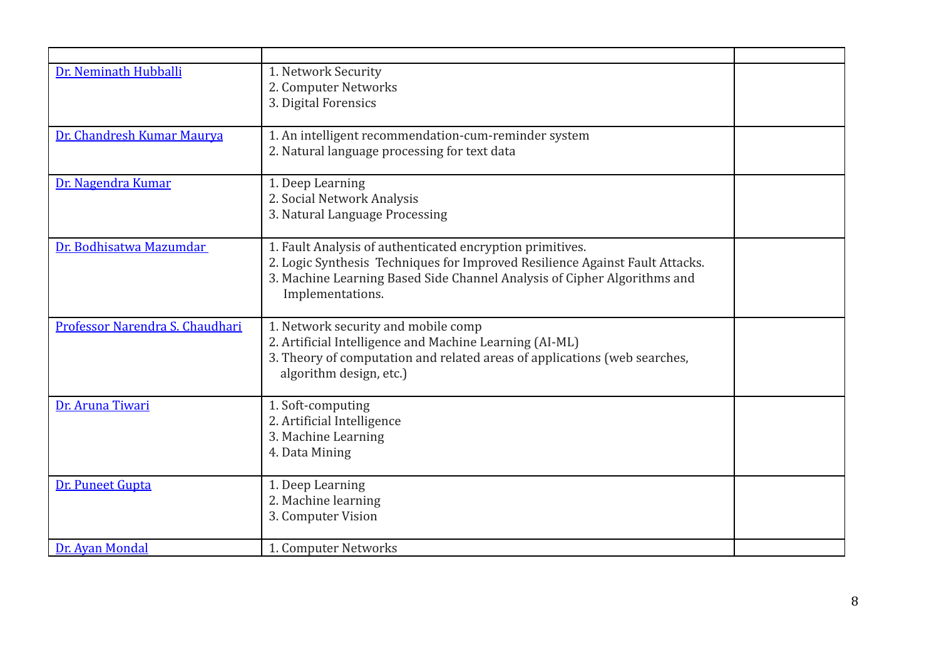| Dr. Neminath Hubballi           | 1. Network Security<br>2. Computer Networks                                                                                                                                                                                               |  |
|---------------------------------|-------------------------------------------------------------------------------------------------------------------------------------------------------------------------------------------------------------------------------------------|--|
|                                 | 3. Digital Forensics                                                                                                                                                                                                                      |  |
| Dr. Chandresh Kumar Maurya      | 1. An intelligent recommendation-cum-reminder system<br>2. Natural language processing for text data                                                                                                                                      |  |
| Dr. Nagendra Kumar              | 1. Deep Learning<br>2. Social Network Analysis<br>3. Natural Language Processing                                                                                                                                                          |  |
| Dr. Bodhisatwa Mazumdar         | 1. Fault Analysis of authenticated encryption primitives.<br>2. Logic Synthesis Techniques for Improved Resilience Against Fault Attacks.<br>3. Machine Learning Based Side Channel Analysis of Cipher Algorithms and<br>Implementations. |  |
| Professor Narendra S. Chaudhari | 1. Network security and mobile comp<br>2. Artificial Intelligence and Machine Learning (AI-ML)<br>3. Theory of computation and related areas of applications (web searches,<br>algorithm design, etc.)                                    |  |
| Dr. Aruna Tiwari                | 1. Soft-computing<br>2. Artificial Intelligence<br>3. Machine Learning<br>4. Data Mining                                                                                                                                                  |  |
| Dr. Puneet Gupta                | 1. Deep Learning<br>2. Machine learning<br>3. Computer Vision                                                                                                                                                                             |  |
| Dr. Avan Mondal                 | 1. Computer Networks                                                                                                                                                                                                                      |  |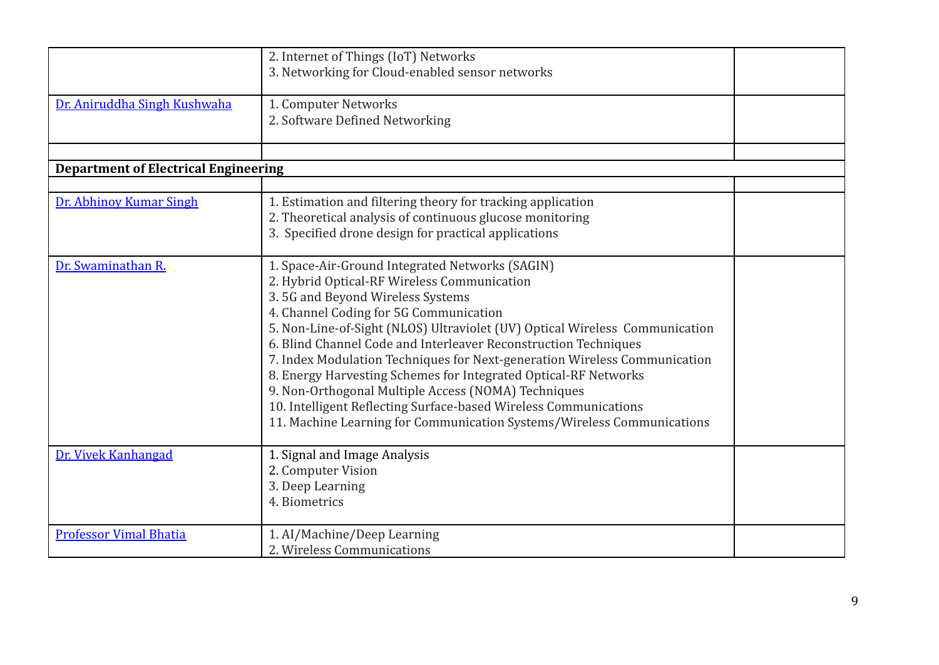|                                             | 2. Internet of Things (IoT) Networks<br>3. Networking for Cloud-enabled sensor networks                                                                                                                                                                                                                                                                                                                                                                                                                                                                                                                                                                                             |  |
|---------------------------------------------|-------------------------------------------------------------------------------------------------------------------------------------------------------------------------------------------------------------------------------------------------------------------------------------------------------------------------------------------------------------------------------------------------------------------------------------------------------------------------------------------------------------------------------------------------------------------------------------------------------------------------------------------------------------------------------------|--|
| Dr. Aniruddha Singh Kushwaha                | 1. Computer Networks<br>2. Software Defined Networking                                                                                                                                                                                                                                                                                                                                                                                                                                                                                                                                                                                                                              |  |
| <b>Department of Electrical Engineering</b> |                                                                                                                                                                                                                                                                                                                                                                                                                                                                                                                                                                                                                                                                                     |  |
|                                             |                                                                                                                                                                                                                                                                                                                                                                                                                                                                                                                                                                                                                                                                                     |  |
| Dr. Abhinoy Kumar Singh                     | 1. Estimation and filtering theory for tracking application<br>2. Theoretical analysis of continuous glucose monitoring<br>3. Specified drone design for practical applications                                                                                                                                                                                                                                                                                                                                                                                                                                                                                                     |  |
| Dr. Swaminathan R.                          | 1. Space-Air-Ground Integrated Networks (SAGIN)<br>2. Hybrid Optical-RF Wireless Communication<br>3.5G and Beyond Wireless Systems<br>4. Channel Coding for 5G Communication<br>5. Non-Line-of-Sight (NLOS) Ultraviolet (UV) Optical Wireless Communication<br>6. Blind Channel Code and Interleaver Reconstruction Techniques<br>7. Index Modulation Techniques for Next-generation Wireless Communication<br>8. Energy Harvesting Schemes for Integrated Optical-RF Networks<br>9. Non-Orthogonal Multiple Access (NOMA) Techniques<br>10. Intelligent Reflecting Surface-based Wireless Communications<br>11. Machine Learning for Communication Systems/Wireless Communications |  |
| Dr. Vivek Kanhangad                         | 1. Signal and Image Analysis<br>2. Computer Vision<br>3. Deep Learning<br>4. Biometrics                                                                                                                                                                                                                                                                                                                                                                                                                                                                                                                                                                                             |  |
| <b>Professor Vimal Bhatia</b>               | 1. AI/Machine/Deep Learning<br>2. Wireless Communications                                                                                                                                                                                                                                                                                                                                                                                                                                                                                                                                                                                                                           |  |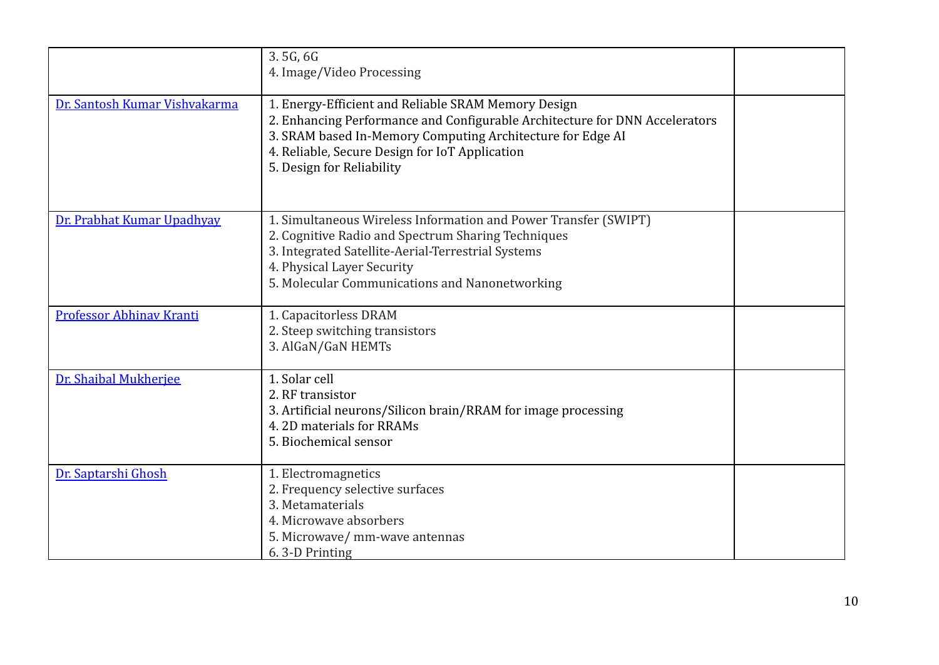|                               | 3.5G, 6G<br>4. Image/Video Processing                                                                                                                                                                                                                                           |  |
|-------------------------------|---------------------------------------------------------------------------------------------------------------------------------------------------------------------------------------------------------------------------------------------------------------------------------|--|
| Dr. Santosh Kumar Vishvakarma | 1. Energy-Efficient and Reliable SRAM Memory Design<br>2. Enhancing Performance and Configurable Architecture for DNN Accelerators<br>3. SRAM based In-Memory Computing Architecture for Edge AI<br>4. Reliable, Secure Design for IoT Application<br>5. Design for Reliability |  |
| Dr. Prabhat Kumar Upadhyay    | 1. Simultaneous Wireless Information and Power Transfer (SWIPT)<br>2. Cognitive Radio and Spectrum Sharing Techniques<br>3. Integrated Satellite-Aerial-Terrestrial Systems<br>4. Physical Layer Security<br>5. Molecular Communications and Nanonetworking                     |  |
| Professor Abhinav Kranti      | 1. Capacitorless DRAM<br>2. Steep switching transistors<br>3. AlGaN/GaN HEMTs                                                                                                                                                                                                   |  |
| Dr. Shaibal Mukherjee         | 1. Solar cell<br>2. RF transistor<br>3. Artificial neurons/Silicon brain/RRAM for image processing<br>4.2D materials for RRAMs<br>5. Biochemical sensor                                                                                                                         |  |
| Dr. Saptarshi Ghosh           | 1. Electromagnetics<br>2. Frequency selective surfaces<br>3. Metamaterials<br>4. Microwave absorbers<br>5. Microwave/ mm-wave antennas<br>6.3-D Printing                                                                                                                        |  |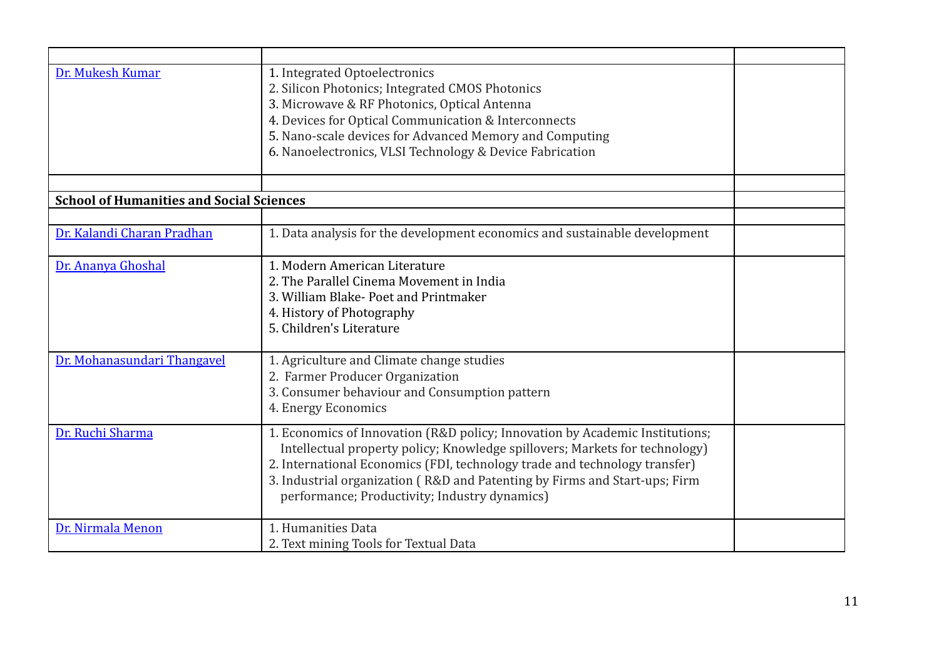| Dr. Mukesh Kumar                                | 1. Integrated Optoelectronics<br>2. Silicon Photonics; Integrated CMOS Photonics<br>3. Microwave & RF Photonics, Optical Antenna<br>4. Devices for Optical Communication & Interconnects<br>5. Nano-scale devices for Advanced Memory and Computing<br>6. Nanoelectronics, VLSI Technology & Device Fabrication                                                          |  |
|-------------------------------------------------|--------------------------------------------------------------------------------------------------------------------------------------------------------------------------------------------------------------------------------------------------------------------------------------------------------------------------------------------------------------------------|--|
| <b>School of Humanities and Social Sciences</b> |                                                                                                                                                                                                                                                                                                                                                                          |  |
|                                                 |                                                                                                                                                                                                                                                                                                                                                                          |  |
| Dr. Kalandi Charan Pradhan                      | 1. Data analysis for the development economics and sustainable development                                                                                                                                                                                                                                                                                               |  |
| Dr. Ananya Ghoshal                              | 1. Modern American Literature<br>2. The Parallel Cinema Movement in India<br>3. William Blake-Poet and Printmaker<br>4. History of Photography<br>5. Children's Literature                                                                                                                                                                                               |  |
| Dr. Mohanasundari Thangavel                     | 1. Agriculture and Climate change studies<br>2. Farmer Producer Organization<br>3. Consumer behaviour and Consumption pattern<br>4. Energy Economics                                                                                                                                                                                                                     |  |
| Dr. Ruchi Sharma                                | 1. Economics of Innovation (R&D policy; Innovation by Academic Institutions;<br>Intellectual property policy; Knowledge spillovers; Markets for technology)<br>2. International Economics (FDI, technology trade and technology transfer)<br>3. Industrial organization (R&D and Patenting by Firms and Start-ups; Firm<br>performance; Productivity; Industry dynamics) |  |
| Dr. Nirmala Menon                               | 1. Humanities Data<br>2. Text mining Tools for Textual Data                                                                                                                                                                                                                                                                                                              |  |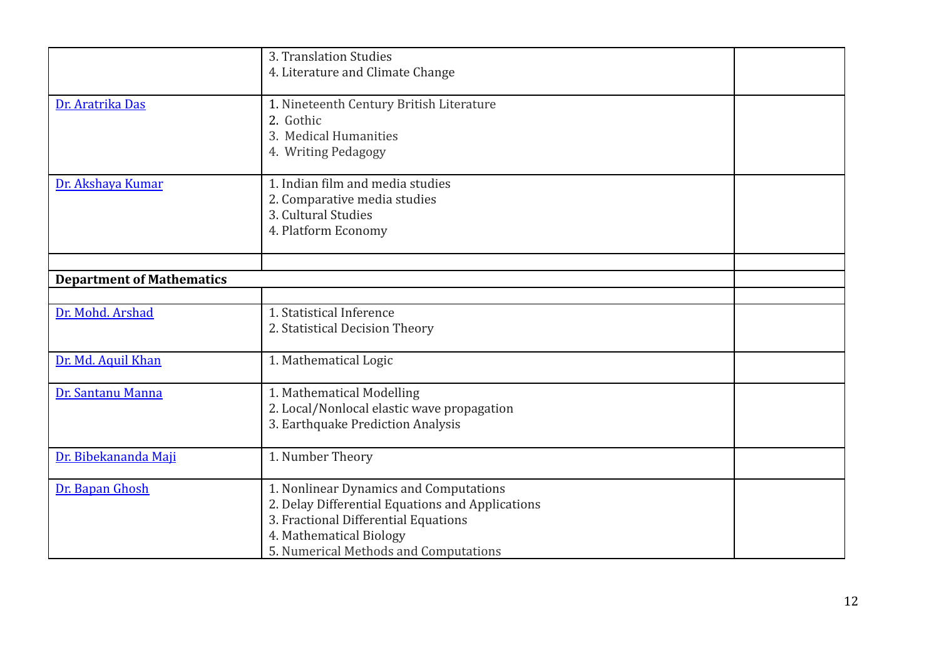|                                  | 3. Translation Studies<br>4. Literature and Climate Change                                                                                                                                             |  |
|----------------------------------|--------------------------------------------------------------------------------------------------------------------------------------------------------------------------------------------------------|--|
| Dr. Aratrika Das                 | 1. Nineteenth Century British Literature<br>2. Gothic<br>3. Medical Humanities<br>4. Writing Pedagogy                                                                                                  |  |
| Dr. Akshaya Kumar                | 1. Indian film and media studies<br>2. Comparative media studies<br>3. Cultural Studies<br>4. Platform Economy                                                                                         |  |
| <b>Department of Mathematics</b> |                                                                                                                                                                                                        |  |
|                                  |                                                                                                                                                                                                        |  |
| Dr. Mohd. Arshad                 | 1. Statistical Inference<br>2. Statistical Decision Theory                                                                                                                                             |  |
| Dr. Md. Aquil Khan               | 1. Mathematical Logic                                                                                                                                                                                  |  |
| Dr. Santanu Manna                | 1. Mathematical Modelling<br>2. Local/Nonlocal elastic wave propagation<br>3. Earthquake Prediction Analysis                                                                                           |  |
| Dr. Bibekananda Maji             | 1. Number Theory                                                                                                                                                                                       |  |
| Dr. Bapan Ghosh                  | 1. Nonlinear Dynamics and Computations<br>2. Delay Differential Equations and Applications<br>3. Fractional Differential Equations<br>4. Mathematical Biology<br>5. Numerical Methods and Computations |  |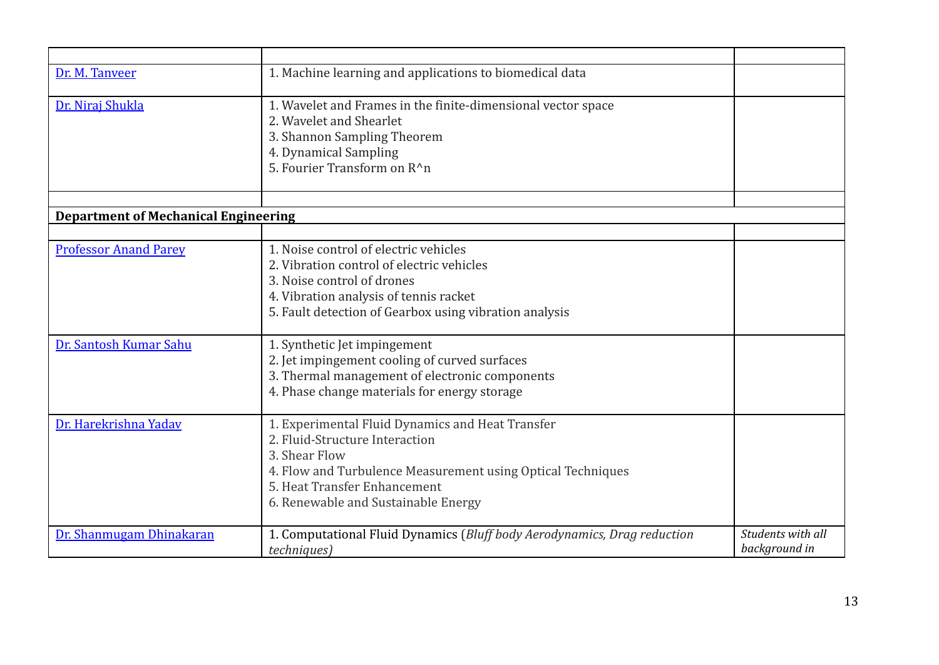| Dr. M. Tanveer                              | 1. Machine learning and applications to biomedical data                  |                   |
|---------------------------------------------|--------------------------------------------------------------------------|-------------------|
|                                             |                                                                          |                   |
| Dr. Niraj Shukla                            | 1. Wavelet and Frames in the finite-dimensional vector space             |                   |
|                                             | 2. Wavelet and Shearlet                                                  |                   |
|                                             |                                                                          |                   |
|                                             | 3. Shannon Sampling Theorem                                              |                   |
|                                             | 4. Dynamical Sampling                                                    |                   |
|                                             | 5. Fourier Transform on R <sup>^</sup> n                                 |                   |
|                                             |                                                                          |                   |
|                                             |                                                                          |                   |
| <b>Department of Mechanical Engineering</b> |                                                                          |                   |
|                                             |                                                                          |                   |
| <b>Professor Anand Parey</b>                | 1. Noise control of electric vehicles                                    |                   |
|                                             | 2. Vibration control of electric vehicles                                |                   |
|                                             | 3. Noise control of drones                                               |                   |
|                                             | 4. Vibration analysis of tennis racket                                   |                   |
|                                             |                                                                          |                   |
|                                             | 5. Fault detection of Gearbox using vibration analysis                   |                   |
| Dr. Santosh Kumar Sahu                      | 1. Synthetic Jet impingement                                             |                   |
|                                             | 2. Jet impingement cooling of curved surfaces                            |                   |
|                                             | 3. Thermal management of electronic components                           |                   |
|                                             |                                                                          |                   |
|                                             | 4. Phase change materials for energy storage                             |                   |
| Dr. Harekrishna Yadav                       | 1. Experimental Fluid Dynamics and Heat Transfer                         |                   |
|                                             | 2. Fluid-Structure Interaction                                           |                   |
|                                             | 3. Shear Flow                                                            |                   |
|                                             |                                                                          |                   |
|                                             | 4. Flow and Turbulence Measurement using Optical Techniques              |                   |
|                                             | 5. Heat Transfer Enhancement                                             |                   |
|                                             | 6. Renewable and Sustainable Energy                                      |                   |
| Dr. Shanmugam Dhinakaran                    | 1. Computational Fluid Dynamics (Bluff body Aerodynamics, Drag reduction | Students with all |
|                                             |                                                                          | background in     |
|                                             | <i>techniques</i> )                                                      |                   |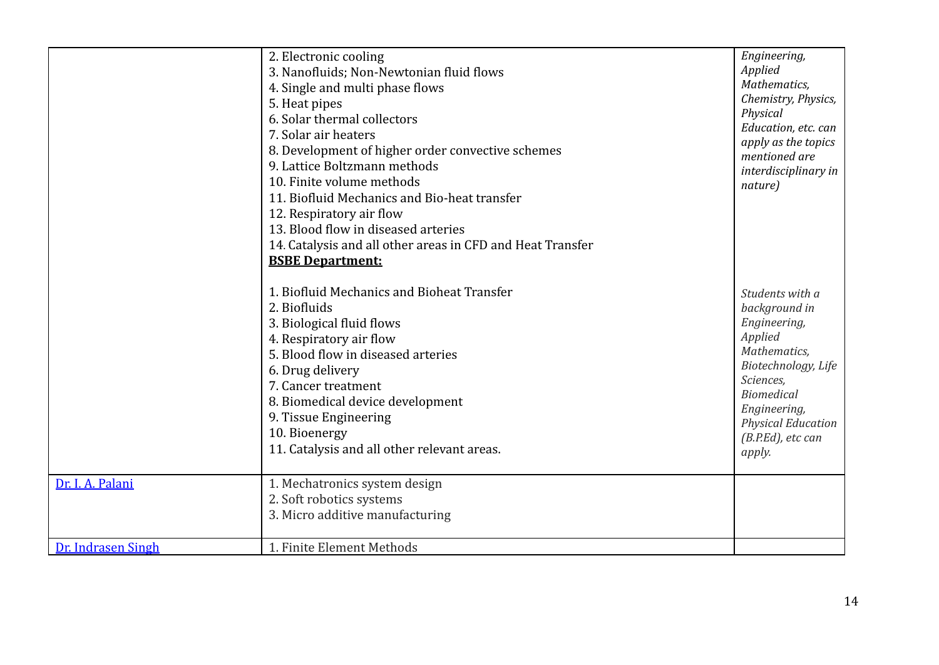|                                        | 2. Electronic cooling<br>3. Nanofluids; Non-Newtonian fluid flows<br>4. Single and multi phase flows<br>5. Heat pipes<br>6. Solar thermal collectors<br>7. Solar air heaters<br>8. Development of higher order convective schemes<br>9. Lattice Boltzmann methods<br>10. Finite volume methods<br>11. Biofluid Mechanics and Bio-heat transfer<br>12. Respiratory air flow<br>13. Blood flow in diseased arteries<br>14. Catalysis and all other areas in CFD and Heat Transfer<br><b>BSBE Department:</b> | Engineering,<br>Applied<br>Mathematics,<br>Chemistry, Physics,<br>Physical<br>Education, etc. can<br>apply as the topics<br>mentioned are<br>interdisciplinary in<br>nature)                                     |
|----------------------------------------|------------------------------------------------------------------------------------------------------------------------------------------------------------------------------------------------------------------------------------------------------------------------------------------------------------------------------------------------------------------------------------------------------------------------------------------------------------------------------------------------------------|------------------------------------------------------------------------------------------------------------------------------------------------------------------------------------------------------------------|
|                                        | 1. Biofluid Mechanics and Bioheat Transfer<br>2. Biofluids<br>3. Biological fluid flows<br>4. Respiratory air flow<br>5. Blood flow in diseased arteries<br>6. Drug delivery<br>7. Cancer treatment<br>8. Biomedical device development<br>9. Tissue Engineering<br>10. Bioenergy<br>11. Catalysis and all other relevant areas.                                                                                                                                                                           | Students with a<br>background in<br>Engineering,<br>Applied<br>Mathematics,<br>Biotechnology, Life<br>Sciences,<br><b>Biomedical</b><br>Engineering,<br><b>Physical Education</b><br>(B.P.Ed), etc can<br>apply. |
| Dr. I. A. Palani<br>Dr. Indrasen Singh | 1. Mechatronics system design<br>2. Soft robotics systems<br>3. Micro additive manufacturing<br>1. Finite Element Methods                                                                                                                                                                                                                                                                                                                                                                                  |                                                                                                                                                                                                                  |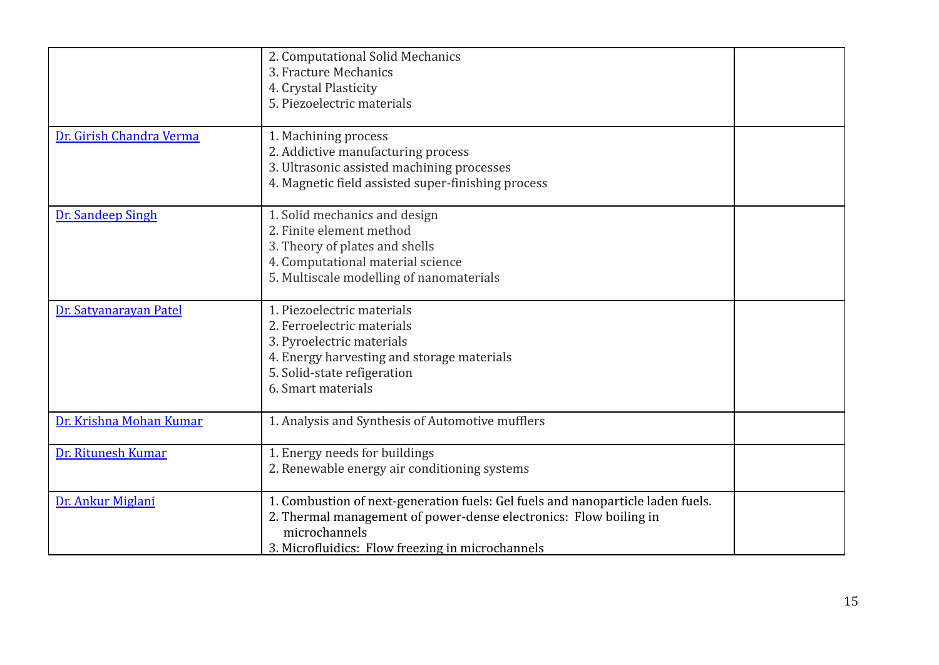|                          | 2. Computational Solid Mechanics<br>3. Fracture Mechanics<br>4. Crystal Plasticity<br>5. Piezoelectric materials                                                                                                          |  |
|--------------------------|---------------------------------------------------------------------------------------------------------------------------------------------------------------------------------------------------------------------------|--|
| Dr. Girish Chandra Verma | 1. Machining process<br>2. Addictive manufacturing process<br>3. Ultrasonic assisted machining processes<br>4. Magnetic field assisted super-finishing process                                                            |  |
| Dr. Sandeep Singh        | 1. Solid mechanics and design<br>2. Finite element method<br>3. Theory of plates and shells<br>4. Computational material science<br>5. Multiscale modelling of nanomaterials                                              |  |
| Dr. Satyanarayan Patel   | 1. Piezoelectric materials<br>2. Ferroelectric materials<br>3. Pyroelectric materials<br>4. Energy harvesting and storage materials<br>5. Solid-state refigeration<br>6. Smart materials                                  |  |
| Dr. Krishna Mohan Kumar  | 1. Analysis and Synthesis of Automotive mufflers                                                                                                                                                                          |  |
| Dr. Ritunesh Kumar       | 1. Energy needs for buildings<br>2. Renewable energy air conditioning systems                                                                                                                                             |  |
| Dr. Ankur Miglani        | 1. Combustion of next-generation fuels: Gel fuels and nanoparticle laden fuels.<br>2. Thermal management of power-dense electronics: Flow boiling in<br>microchannels<br>3. Microfluidics: Flow freezing in microchannels |  |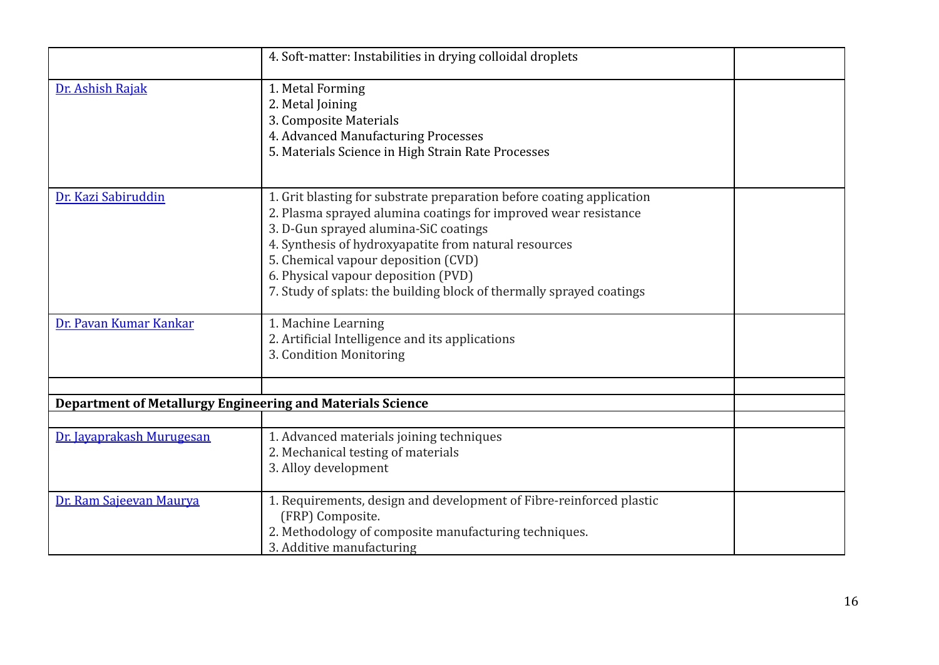|                                                                   | 4. Soft-matter: Instabilities in drying colloidal droplets                                                                                                                                                                                                                                                                                                                                       |  |
|-------------------------------------------------------------------|--------------------------------------------------------------------------------------------------------------------------------------------------------------------------------------------------------------------------------------------------------------------------------------------------------------------------------------------------------------------------------------------------|--|
| Dr. Ashish Rajak                                                  | 1. Metal Forming<br>2. Metal Joining<br>3. Composite Materials<br>4. Advanced Manufacturing Processes<br>5. Materials Science in High Strain Rate Processes                                                                                                                                                                                                                                      |  |
| Dr. Kazi Sabiruddin                                               | 1. Grit blasting for substrate preparation before coating application<br>2. Plasma sprayed alumina coatings for improved wear resistance<br>3. D-Gun sprayed alumina-SiC coatings<br>4. Synthesis of hydroxyapatite from natural resources<br>5. Chemical vapour deposition (CVD)<br>6. Physical vapour deposition (PVD)<br>7. Study of splats: the building block of thermally sprayed coatings |  |
| Dr. Pavan Kumar Kankar                                            | 1. Machine Learning<br>2. Artificial Intelligence and its applications<br>3. Condition Monitoring                                                                                                                                                                                                                                                                                                |  |
|                                                                   |                                                                                                                                                                                                                                                                                                                                                                                                  |  |
| <b>Department of Metallurgy Engineering and Materials Science</b> |                                                                                                                                                                                                                                                                                                                                                                                                  |  |
| Dr. Jayaprakash Murugesan                                         | 1. Advanced materials joining techniques<br>2. Mechanical testing of materials<br>3. Alloy development                                                                                                                                                                                                                                                                                           |  |
| Dr. Ram Sajeevan Maurya                                           | 1. Requirements, design and development of Fibre-reinforced plastic<br>(FRP) Composite.<br>2. Methodology of composite manufacturing techniques.<br>3. Additive manufacturing                                                                                                                                                                                                                    |  |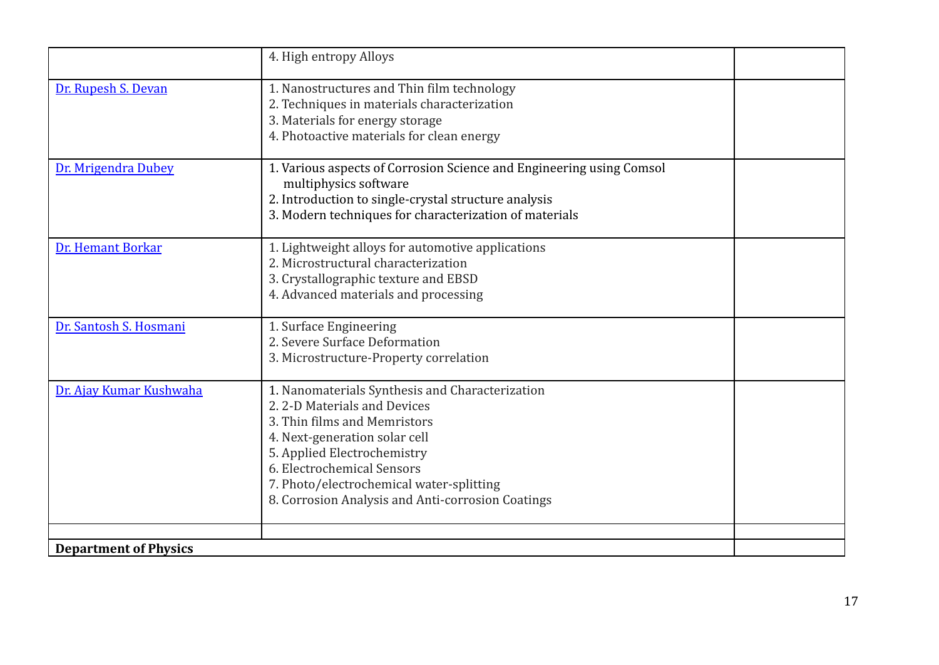|                              | 4. High entropy Alloys                                                                                                                                                                                                                                                                                        |  |
|------------------------------|---------------------------------------------------------------------------------------------------------------------------------------------------------------------------------------------------------------------------------------------------------------------------------------------------------------|--|
| Dr. Rupesh S. Devan          | 1. Nanostructures and Thin film technology<br>2. Techniques in materials characterization<br>3. Materials for energy storage<br>4. Photoactive materials for clean energy                                                                                                                                     |  |
| Dr. Mrigendra Dubey          | 1. Various aspects of Corrosion Science and Engineering using Comsol<br>multiphysics software<br>2. Introduction to single-crystal structure analysis<br>3. Modern techniques for characterization of materials                                                                                               |  |
| Dr. Hemant Borkar            | 1. Lightweight alloys for automotive applications<br>2. Microstructural characterization<br>3. Crystallographic texture and EBSD<br>4. Advanced materials and processing                                                                                                                                      |  |
| Dr. Santosh S. Hosmani       | 1. Surface Engineering<br>2. Severe Surface Deformation<br>3. Microstructure-Property correlation                                                                                                                                                                                                             |  |
| Dr. Ajay Kumar Kushwaha      | 1. Nanomaterials Synthesis and Characterization<br>2.2-D Materials and Devices<br>3. Thin films and Memristors<br>4. Next-generation solar cell<br>5. Applied Electrochemistry<br>6. Electrochemical Sensors<br>7. Photo/electrochemical water-splitting<br>8. Corrosion Analysis and Anti-corrosion Coatings |  |
| <b>Department of Physics</b> |                                                                                                                                                                                                                                                                                                               |  |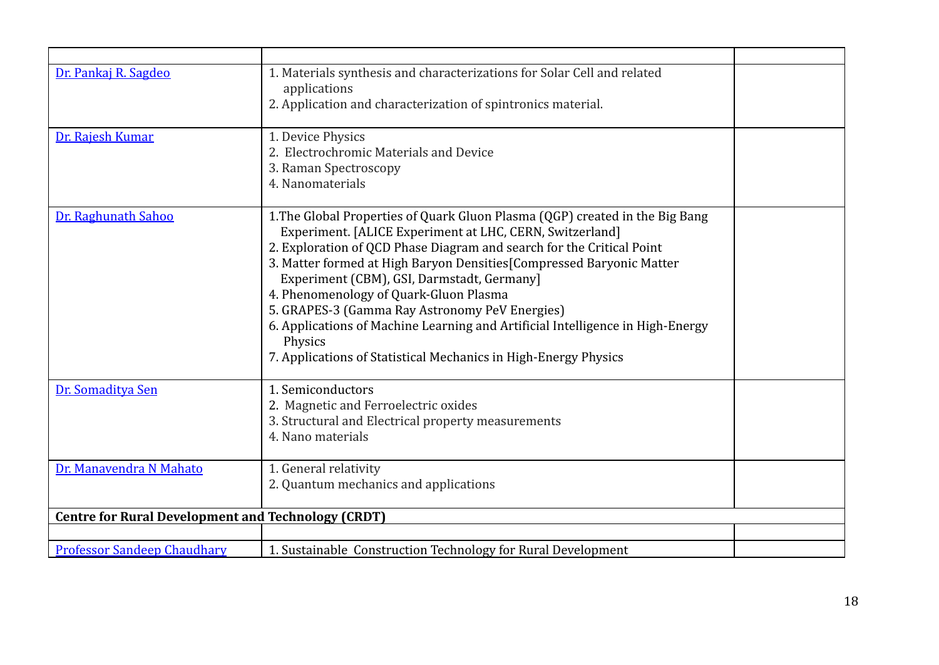| Dr. Pankaj R. Sagdeo                                      | 1. Materials synthesis and characterizations for Solar Cell and related<br>applications<br>2. Application and characterization of spintronics material.                                                                                                                                                                                                                                                                                                                                                                                                                                              |  |
|-----------------------------------------------------------|------------------------------------------------------------------------------------------------------------------------------------------------------------------------------------------------------------------------------------------------------------------------------------------------------------------------------------------------------------------------------------------------------------------------------------------------------------------------------------------------------------------------------------------------------------------------------------------------------|--|
| Dr. Rajesh Kumar                                          | 1. Device Physics<br>2. Electrochromic Materials and Device<br>3. Raman Spectroscopy<br>4. Nanomaterials                                                                                                                                                                                                                                                                                                                                                                                                                                                                                             |  |
| Dr. Raghunath Sahoo                                       | 1. The Global Properties of Quark Gluon Plasma (QGP) created in the Big Bang<br>Experiment. [ALICE Experiment at LHC, CERN, Switzerland]<br>2. Exploration of QCD Phase Diagram and search for the Critical Point<br>3. Matter formed at High Baryon Densities [Compressed Baryonic Matter<br>Experiment (CBM), GSI, Darmstadt, Germany]<br>4. Phenomenology of Quark-Gluon Plasma<br>5. GRAPES-3 (Gamma Ray Astronomy PeV Energies)<br>6. Applications of Machine Learning and Artificial Intelligence in High-Energy<br>Physics<br>7. Applications of Statistical Mechanics in High-Energy Physics |  |
| Dr. Somaditya Sen                                         | 1. Semiconductors<br>2. Magnetic and Ferroelectric oxides<br>3. Structural and Electrical property measurements<br>4. Nano materials                                                                                                                                                                                                                                                                                                                                                                                                                                                                 |  |
| Dr. Manavendra N Mahato                                   | 1. General relativity<br>2. Quantum mechanics and applications                                                                                                                                                                                                                                                                                                                                                                                                                                                                                                                                       |  |
| <b>Centre for Rural Development and Technology (CRDT)</b> |                                                                                                                                                                                                                                                                                                                                                                                                                                                                                                                                                                                                      |  |
|                                                           |                                                                                                                                                                                                                                                                                                                                                                                                                                                                                                                                                                                                      |  |
| <b>Professor Sandeep Chaudhary</b>                        | 1. Sustainable Construction Technology for Rural Development                                                                                                                                                                                                                                                                                                                                                                                                                                                                                                                                         |  |